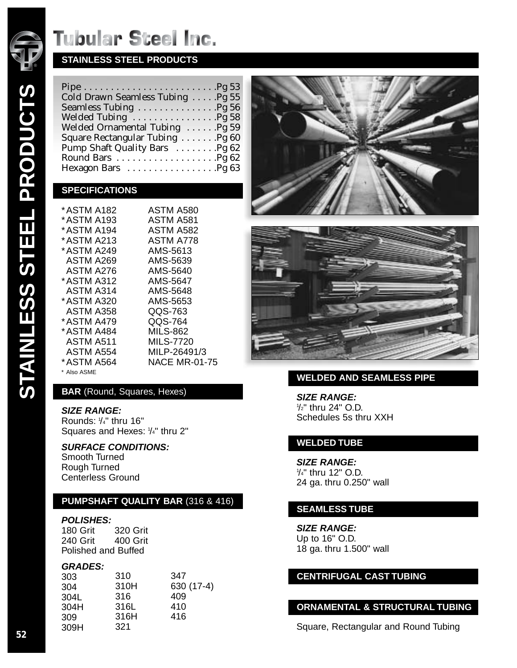

## **STAINLESS STEEL PRODUCTS**

| Cold Drawn Seamless Tubing Pg 55 |  |
|----------------------------------|--|
|                                  |  |
|                                  |  |
| Welded Ornamental Tubing Pg 59   |  |
| Square Rectangular Tubing Pg 60  |  |
| Pump Shaft Quality Bars 9g 62    |  |
|                                  |  |
|                                  |  |

### **SPECIFICATIONS**

| * ASTM A182      | <b>ASTM A580</b>     |
|------------------|----------------------|
| * ASTM A193      | ASTM A581            |
| * ASTM A194      | ASTM A582            |
| * ASTM A213      | ASTM A778            |
| * ASTM A249      | AMS-5613             |
| ASTM A269        | AMS-5639             |
| ASTM A276        | AMS-5640             |
| * ASTM A312      | AMS-5647             |
| ASTM A314        | AMS-5648             |
| * ASTM A320      | AMS-5653             |
| <b>ASTM A358</b> | QQS-763              |
| * ASTM A479      | QQS-764              |
| * ASTM A484      | <b>MILS-862</b>      |
| ASTM A511        | <b>MILS-7720</b>     |
| ASTM A554        | MILP-26491/3         |
| * ASTM A564      | <b>NACE MR-01-75</b> |

\* Also ASME

### **BAR** (Round, Squares, Hexes)

#### **SIZE RANGE:**

Rounds: 1/4" thru 16" Squares and Hexes:  $1/4"$  thru 2"

#### **SURFACE CONDITIONS:**

Smooth Turned Rough Turned Centerless Ground

#### **PUMPSHAFT QUALITY BAR** (316 & 416)

#### **POLISHES:**

180 Grit 320 Grit 240 Grit 400 Grit Polished and Buffed

#### **GRADES:**

| 303  | 310  | 347        |
|------|------|------------|
| 304  | 310H | 630 (17-4) |
| 304L | 316  | 409        |
| 304H | 316L | 410        |
| 309  | 316H | 416        |
| 309H | 321  |            |





### **WELDED AND SEAMLESS PIPE**

**SIZE RANGE:** 1 /2" thru 24" O.D. Schedules 5s thru XXH

#### **WELDED TUBE**

**SIZE RANGE:** 1 /4" thru 12" O.D. 24 ga. thru 0.250" wall

#### **SEAMLESS TUBE**

**SIZE RANGE:** Up to 16" O.D. 18 ga. thru 1.500" wall

#### **CENTRIFUGAL CAST TUBING**

### **ORNAMENTAL & STRUCTURAL TUBING**

Square, Rectangular and Round Tubing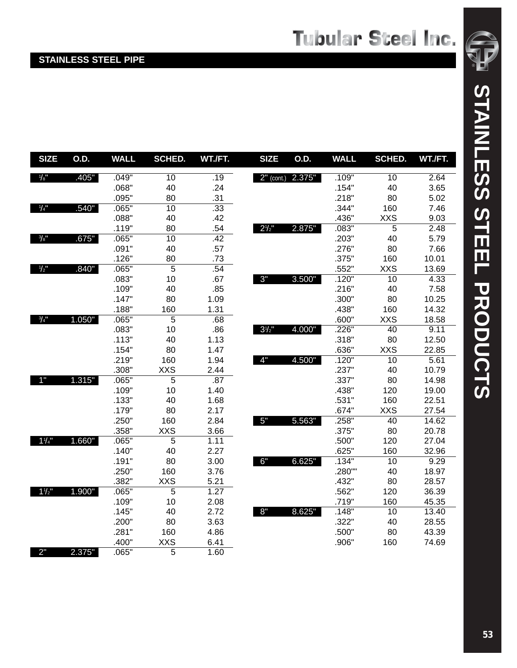## **STAINLESS STEEL PIPE**

| <b>SIZE</b>         | O.D.   | <b>WALL</b> | SCHED.          | WT./FT.          | <b>SIZE</b>  | O.D.   | <b>WALL</b> | SCHED.     | WT./FT. |
|---------------------|--------|-------------|-----------------|------------------|--------------|--------|-------------|------------|---------|
| $\frac{1}{8}$       | .405"  | .049"       | 10              | .19              | $2"$ (cont.) | 2.375" | .109"       | 10         | 2.64    |
|                     |        | .068"       | 40              | .24              |              |        | .154"       | 40         | 3.65    |
|                     |        | .095"       | 80              | .31              |              |        | .218"       | 80         | 5.02    |
| 1/4"                | .540"  | .065"       | 10              | $\overline{.33}$ |              |        | .344"       | 160        | 7.46    |
|                     |        | .088"       | 40              | .42              |              |        | .436"       | <b>XXS</b> | 9.03    |
|                     |        | .119"       | 80              | .54              | $2^{1/2}$    | 2.875" | .083"       | 5          | 2.48    |
| $\frac{3}{8}$ "     | .675"  | .065"       | $\overline{10}$ | .42              |              |        | .203"       | 40         | 5.79    |
|                     |        | .091"       | 40              | .57              |              |        | .276"       | 80         | 7.66    |
|                     |        | .126"       | 80              | .73              |              |        | .375"       | 160        | 10.01   |
| $1/2$ <sup>11</sup> | .840"  | .065"       | 5               | .54              |              |        | .552"       | <b>XXS</b> | 13.69   |
|                     |        | .083"       | 10              | .67              | 3"           | 3.500" | .120"       | 10         | 4.33    |
|                     |        | .109"       | 40              | .85              |              |        | .216"       | 40         | 7.58    |
|                     |        | .147"       | 80              | 1.09             |              |        | .300"       | 80         | 10.25   |
|                     |        | .188"       | 160             | 1.31             |              |        | .438"       | 160        | 14.32   |
| $\frac{3}{4}$ "     | 1.050" | .065"       | $\overline{5}$  | $.\overline{68}$ |              |        | .600"       | <b>XXS</b> | 18.58   |
|                     |        | .083"       | 10              | .86              | $3^{1/2}$    | 4.000" | .226"       | 40         | 9.11    |
|                     |        | .113"       | 40              | 1.13             |              |        | .318"       | 80         | 12.50   |
|                     |        | .154"       | 80              | 1.47             |              |        | .636"       | <b>XXS</b> | 22.85   |
|                     |        | .219"       | 160             | 1.94             | 4"           | 4.500" | .120"       | 10         | 5.61    |
|                     |        | .308"       | <b>XXS</b>      | 2.44             |              |        | .237"       | 40         | 10.79   |
| 1"                  | 1.315" | .065"       | 5               | .87              |              |        | .337"       | 80         | 14.98   |
|                     |        | .109"       | 10              | 1.40             |              |        | .438"       | 120        | 19.00   |
|                     |        | .133"       | 40              | 1.68             |              |        | .531"       | 160        | 22.51   |
|                     |        | .179"       | 80              | 2.17             |              |        | .674"       | <b>XXS</b> | 27.54   |
|                     |        | .250"       | 160             | 2.84             | 5"           | 5.563" | .258"       | 40         | 14.62   |
|                     |        | .358"       | <b>XXS</b>      | 3.66             |              |        | .375"       | 80         | 20.78   |
| $1\frac{1}{4}$      | 1.660" | .065"       | 5               | 1.11             |              |        | .500"       | 120        | 27.04   |
|                     |        | .140"       | 40              | 2.27             |              |        | .625"       | 160        | 32.96   |
|                     |        | .191"       | 80              | 3.00             | 6"           | 6.625" | .134"       | 10         | 9.29    |
|                     |        | .250"       | 160             | 3.76             |              |        | .280""      | 40         | 18.97   |
|                     |        | .382"       | <b>XXS</b>      | 5.21             |              |        | .432"       | 80         | 28.57   |
| $1\frac{1}{2}$      | 1.900" | .065"       | 5               | 1.27             |              |        | .562"       | 120        | 36.39   |
|                     |        | .109"       | 10              | 2.08             |              |        | .719"       | 160        | 45.35   |
|                     |        | .145"       | 40              | 2.72             | 8"           | 8.625" | .148"       | 10         | 13.40   |
|                     |        | .200"       | 80              | 3.63             |              |        | .322"       | 40         | 28.55   |
|                     |        | .281"       | 160             | 4.86             |              |        | .500"       | 80         | 43.39   |
|                     |        | .400"       | <b>XXS</b>      | 6.41             |              |        | .906"       | 160        | 74.69   |
| 2"                  | 2.375" | .065"       | 5               | 1.60             |              |        |             |            |         |

®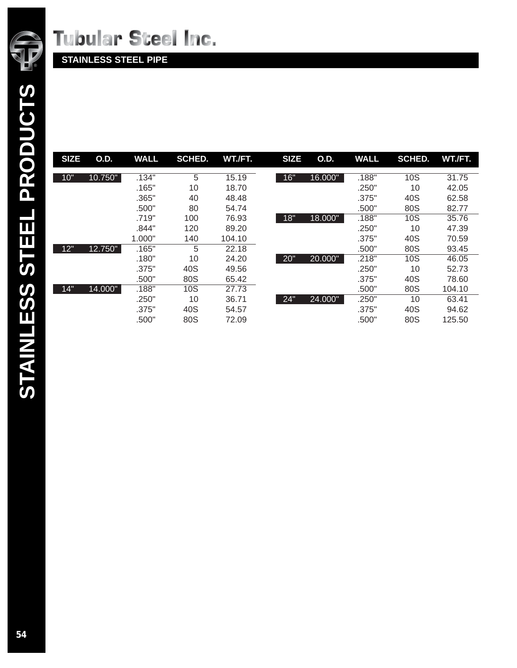

**STAINLESS STEEL PIPE**

| <b>SIZE</b> | <b>O.D.</b> | <b>WALL</b> | <b>SCHED.</b> | WT./FT. | <b>SIZE</b> | <b>O.D.</b> | <b>WALL</b> | <b>SCHED.</b> | WT./FT. |
|-------------|-------------|-------------|---------------|---------|-------------|-------------|-------------|---------------|---------|
| 10"         | 10.750"     | .134"       | 5             | 15.19   | 16"         | 16.000"     | .188"       | <b>10S</b>    | 31.75   |
|             |             | .165"       | 10            | 18.70   |             |             | .250"       | 10            | 42.05   |
|             |             | .365"       | 40            | 48.48   |             |             | .375"       | 40S           | 62.58   |
|             |             | .500"       | 80            | 54.74   |             |             | .500"       | 80S           | 82.77   |
|             |             | .719"       | 100           | 76.93   | 18"         | 18.000"     | .188"       | <b>10S</b>    | 35.76   |
|             |             | .844"       | 120           | 89.20   |             |             | .250"       | 10            | 47.39   |
|             |             | 1.000"      | 140           | 104.10  |             |             | .375"       | 40S           | 70.59   |
| 12"         | 12.750"     | .165"       | 5             | 22.18   |             |             | .500"       | 80S           | 93.45   |
|             |             | .180"       | 10            | 24.20   | 20"         | 20.000"     | .218"       | <b>10S</b>    | 46.05   |
|             |             | .375"       | 40S           | 49.56   |             |             | .250"       | 10            | 52.73   |
|             |             | .500"       | 80S           | 65.42   |             |             | .375"       | 40S           | 78.60   |
| 14"         | 14.000"     | .188"       | 10S           | 27.73   |             |             | .500"       | 80S           | 104.10  |
|             |             | .250"       | 10            | 36.71   | 24"         | 24.000"     | .250"       | 10            | 63.41   |
|             |             | .375"       | 40S           | 54.57   |             |             | .375"       | 40S           | 94.62   |
|             |             | .500"       | 80S           | 72.09   |             |             | .500"       | 80S           | 125.50  |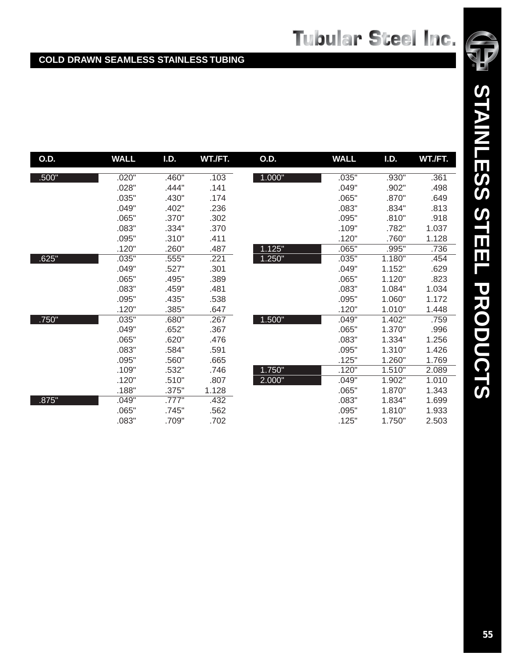### **COLD DRAWN SEAMLESS STAINLESS TUBING**

| O.D.  | <b>WALL</b> | I.D.  | WT./FT. | O.D.   | <b>WALL</b> | I.D.   | WT./FT. |
|-------|-------------|-------|---------|--------|-------------|--------|---------|
| .500" | .020"       | .460" | .103    | 1.000" | .035"       | .930"  | .361    |
|       | .028"       | .444" | .141    |        | .049"       | .902"  | .498    |
|       | .035"       | .430" | .174    |        | .065"       | .870"  | .649    |
|       | .049"       | .402" | .236    |        | .083"       | .834"  | .813    |
|       | .065"       | .370" | .302    |        | .095"       | .810"  | .918    |
|       | .083"       | .334" | .370    |        | .109"       | .782"  | 1.037   |
|       | .095"       | .310" | .411    |        | .120"       | .760"  | 1.128   |
|       | .120"       | .260" | .487    | 1.125" | .065"       | .995"  | .736    |
| .625" | .035"       | .555" | .221    | 1.250" | .035"       | 1.180" | .454    |
|       | .049"       | .527" | .301    |        | .049"       | 1.152" | .629    |
|       | .065"       | .495" | .389    |        | .065"       | 1.120" | .823    |
|       | .083"       | .459" | .481    |        | .083"       | 1.084" | 1.034   |
|       | .095"       | .435" | .538    |        | .095"       | 1.060" | 1.172   |
|       | .120"       | .385" | .647    |        | .120"       | 1.010" | 1.448   |
| .750" | .035"       | .680" | .267    | 1.500" | .049"       | 1.402" | .759    |
|       | .049"       | .652" | .367    |        | .065"       | 1.370" | .996    |
|       | .065"       | .620" | .476    |        | .083"       | 1.334" | 1.256   |
|       | .083"       | .584" | .591    |        | .095"       | 1.310" | 1.426   |
|       | .095"       | .560" | .665    |        | .125"       | 1.260" | 1.769   |
|       | .109"       | .532" | .746    | 1.750" | .120"       | 1.510" | 2.089   |
|       | .120"       | .510" | .807    | 2.000" | .049"       | 1.902" | 1.010   |
|       | .188"       | .375" | 1.128   |        | .065"       | 1.870" | 1.343   |
| .875" | .049"       | .777" | .432    |        | .083"       | 1.834" | 1.699   |
|       | .065"       | .745" | .562    |        | .095"       | 1.810" | 1.933   |
|       | .083"       | .709" | .702    |        | .125"       | 1.750" | 2.503   |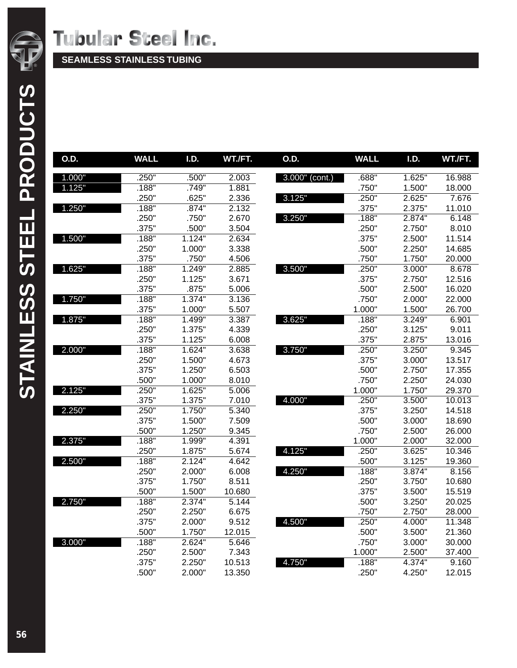

**SEAMLESS STAINLESS TUBING**

| O.D.   | <b>WALL</b> | I.D.   | WT./FT. | O.D.           | <b>WALL</b> | I.D.   | WT./FT. |
|--------|-------------|--------|---------|----------------|-------------|--------|---------|
| 1.000" | .250"       | .500"  | 2.003   | 3.000" (cont.) | .688"       | 1.625" | 16.988  |
| 1.125" | .188"       | .749"  | 1.881   |                | .750"       | 1.500" | 18.000  |
|        | .250"       | .625"  | 2.336   | 3.125"         | .250"       | 2.625" | 7.676   |
| 1.250" | .188"       | .874"  | 2.132   |                | .375"       | 2.375" | 11.010  |
|        | .250"       | .750"  | 2.670   | 3.250"         | .188"       | 2.874" | 6.148   |
|        | .375"       | .500"  | 3.504   |                | .250"       | 2.750" | 8.010   |
| 1.500" | .188"       | 1.124" | 2.634   |                | .375"       | 2.500" | 11.514  |
|        | .250"       | 1.000" | 3.338   |                | .500"       | 2.250" | 14.685  |
|        | .375"       | .750"  | 4.506   |                | .750"       | 1.750" | 20.000  |
| 1.625" | .188"       | 1.249" | 2.885   | 3.500"         | .250"       | 3.000" | 8.678   |
|        | .250"       | 1.125" | 3.671   |                | .375"       | 2.750" | 12.516  |
|        | .375"       | .875"  | 5.006   |                | .500"       | 2.500" | 16.020  |
| 1.750" | .188"       | 1.374" | 3.136   |                | .750"       | 2.000" | 22.000  |
|        | .375"       | 1.000" | 5.507   |                | 1.000"      | 1.500" | 26.700  |
| 1.875" | .188"       | 1.499" | 3.387   | 3.625"         | .188"       | 3.249" | 6.901   |
|        | .250"       | 1.375" | 4.339   |                | .250"       | 3.125" | 9.011   |
|        | .375"       | 1.125" | 6.008   |                | .375"       | 2.875" | 13.016  |
| 2.000" | .188"       | 1.624" | 3.638   | 3.750"         | .250"       | 3.250" | 9.345   |
|        | .250"       | 1.500" | 4.673   |                | .375"       | 3.000" | 13.517  |
|        | .375"       | 1.250" | 6.503   |                | .500"       | 2.750" | 17.355  |
|        | .500"       | 1.000" | 8.010   |                | .750"       | 2.250" | 24.030  |
| 2.125" | .250"       | 1.625" | 5.006   |                | 1.000"      | 1.750" | 29.370  |
|        | .375"       | 1.375" | 7.010   | 4.000"         | .250"       | 3.500" | 10.013  |
| 2.250" | .250"       | 1.750" | 5.340   |                | .375"       | 3.250" | 14.518  |
|        | .375"       | 1.500" | 7.509   |                | .500"       | 3.000" | 18.690  |
|        | .500"       | 1.250" | 9.345   |                | .750"       | 2.500" | 26.000  |
| 2.375" | .188"       | 1.999" | 4.391   |                | 1.000"      | 2.000" | 32.000  |
|        | .250"       | 1.875" | 5.674   | 4.125"         | .250"       | 3.625" | 10.346  |
| 2.500" | .188"       | 2.124" | 4.642   |                | .500"       | 3.125" | 19.360  |
|        | .250"       | 2.000" | 6.008   | 4.250"         | .188"       | 3.874" | 8.156   |
|        | .375"       | 1.750" | 8.511   |                | .250"       | 3.750" | 10.680  |
|        | .500"       | 1.500" | 10.680  |                | .375"       | 3.500" | 15.519  |
| 2.750" | .188"       | 2.374" | 5.144   |                | .500"       | 3.250" | 20.025  |
|        | .250"       | 2.250" | 6.675   |                | .750"       | 2.750" | 28.000  |
|        | .375"       | 2.000" | 9.512   | 4.500"         | .250"       | 4.000" | 11.348  |
|        | .500"       | 1.750" | 12.015  |                | .500"       | 3.500" | 21.360  |
| 3.000" | .188"       | 2.624" | 5.646   |                | .750"       | 3.000" | 30.000  |
|        | .250"       | 2.500" | 7.343   |                | 1.000"      | 2.500" | 37.400  |
|        | .375"       | 2.250" | 10.513  | 4.750"         | .188"       | 4.374" | 9.160   |
|        | .500"       | 2.000" | 13.350  |                | .250"       | 4.250" | 12.015  |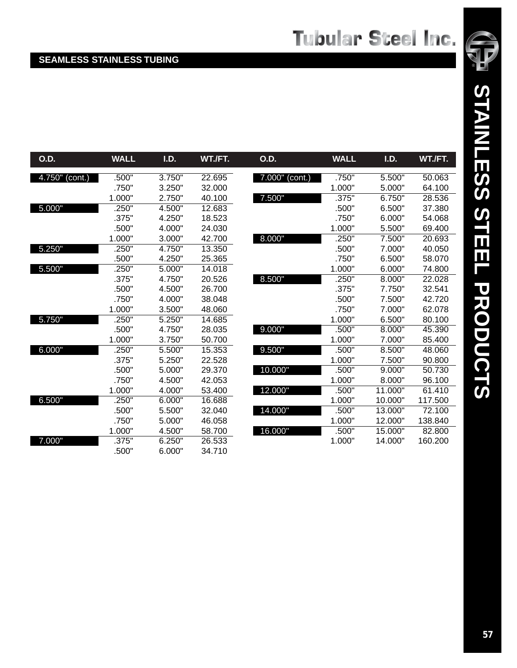## **SEAMLESS STAINLESS TUBING**

| <b>O.D.</b>    | <b>WALL</b> | I.D.   | WT./FT. | <b>O.D.</b>       | <b>WALL</b> | I.D.    | WT./FT. |
|----------------|-------------|--------|---------|-------------------|-------------|---------|---------|
| 4.750" (cont.) | .500"       | 3.750" | 22.695  | $7.000''$ (cont.) | .750"       | 5.500"  | 50.063  |
|                | .750"       | 3.250" | 32.000  |                   | 1.000"      | 5.000"  | 64.100  |
|                | 1.000"      | 2.750" | 40.100  | 7.500"            | .375"       | 6.750"  | 28.536  |
| 5.000"         | .250"       | 4.500" | 12.683  |                   | .500"       | 6.500"  | 37.380  |
|                | .375"       | 4.250" | 18.523  |                   | .750"       | 6.000"  | 54.068  |
|                | .500"       | 4.000" | 24.030  |                   | 1.000"      | 5.500"  | 69.400  |
|                | 1.000"      | 3.000" | 42.700  | 8.000"            | .250"       | 7.500"  | 20.693  |
| 5.250"         | .250"       | 4.750" | 13.350  |                   | .500"       | 7.000"  | 40.050  |
|                | .500"       | 4.250" | 25.365  |                   | .750"       | 6.500"  | 58.070  |
| 5.500"         | .250"       | 5.000" | 14.018  |                   | 1.000"      | 6.000"  | 74.800  |
|                | .375"       | 4.750" | 20.526  | 8.500"            | .250"       | 8.000"  | 22.028  |
|                | .500"       | 4.500" | 26.700  |                   | .375"       | 7.750"  | 32.541  |
|                | .750"       | 4.000" | 38.048  |                   | .500"       | 7.500"  | 42.720  |
|                | 1.000"      | 3.500" | 48.060  |                   | .750"       | 7.000"  | 62.078  |
| 5.750"         | .250"       | 5.250" | 14.685  |                   | 1.000"      | 6.500"  | 80.100  |
|                | .500"       | 4.750" | 28.035  | 9.000"            | .500"       | 8.000"  | 45.390  |
|                | 1.000"      | 3.750" | 50.700  |                   | 1.000"      | 7.000"  | 85.400  |
| 6.000"         | .250"       | 5.500" | 15.353  | 9.500"            | .500"       | 8.500"  | 48.060  |
|                | .375"       | 5.250" | 22.528  |                   | 1.000"      | 7.500"  | 90.800  |
|                | .500"       | 5.000" | 29.370  | 10.000"           | .500"       | 9.000"  | 50.730  |
|                | .750"       | 4.500" | 42.053  |                   | 1.000"      | 8.000"  | 96.100  |
|                | 1.000"      | 4.000" | 53.400  | 12.000"           | .500"       | 11.000" | 61.410  |
| 6.500"         | .250"       | 6.000" | 16.688  |                   | 1.000"      | 10.000" | 117.500 |
|                | .500"       | 5.500" | 32.040  | 14.000"           | .500"       | 13.000" | 72.100  |
|                | .750"       | 5.000" | 46.058  |                   | 1.000"      | 12.000" | 138.840 |
|                | 1.000"      | 4.500" | 58.700  | 16.000"           | .500"       | 15.000" | 82,800  |
| 7.000"         | .375"       | 6.250" | 26.533  |                   | 1.000"      | 14.000" | 160.200 |

.500" 6.000" 34.710

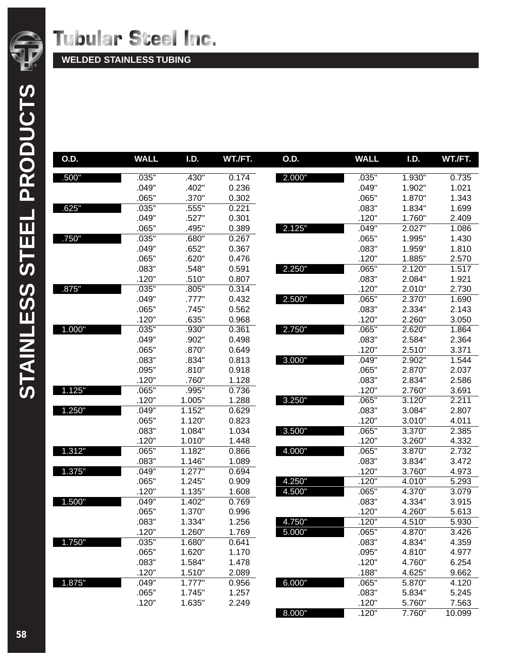

**WELDED STAINLESS TUBING**

| <b>O.D.</b> | <b>WALL</b> | I.D.                 | WT./FT. | O.D.   | <b>WALL</b> | I.D.   | WT./FT. |
|-------------|-------------|----------------------|---------|--------|-------------|--------|---------|
| .500"       | .035"       | .430"                | 0.174   | 2.000" | .035"       | 1.930" | 0.735   |
|             | .049"       | .402"                | 0.236   |        | .049"       | 1.902" | 1.021   |
|             | .065"       | .370"                | 0.302   |        | .065"       | 1.870" | 1.343   |
| .625"       | .035"       | .555"                | 0.221   |        | .083"       | 1.834" | 1.699   |
|             | .049"       | .527"                | 0.301   |        | .120"       | 1.760" | 2.409   |
|             | .065"       | .495"                | 0.389   | 2.125" | .049"       | 2.027" | 1.086   |
| .750"       | .035"       | .680"                | 0.267   |        | .065"       | 1.995" | 1.430   |
|             | .049"       | .652"                | 0.367   |        | .083"       | 1.959" | 1.810   |
|             | .065"       | .620"                | 0.476   |        | .120"       | 1.885" | 2.570   |
|             | .083"       | .548"                | 0.591   | 2.250" | .065"       | 2.120" | 1.517   |
|             | .120"       | .510"                | 0.807   |        | .083"       | 2.084" | 1.921   |
| .875"       | .035"       | .805"                | 0.314   |        | .120"       | 2.010" | 2.730   |
|             | .049"       | .777"                | 0.432   | 2.500" | .065"       | 2.370" | 1.690   |
|             | .065"       | .745"                | 0.562   |        | .083"       | 2.334" | 2.143   |
|             | .120"       | .635"                | 0.968   |        | .120"       | 2.260" | 3.050   |
| 1.000"      | .035"       | .930"                | 0.361   | 2.750" | .065"       | 2.620" | 1.864   |
|             | .049"       | .902"                | 0.498   |        | .083"       | 2.584" | 2.364   |
|             | .065"       | .870"                | 0.649   |        | .120"       | 2.510" | 3.371   |
|             | .083"       | .834"                | 0.813   | 3.000" | .049"       | 2.902" | 1.544   |
|             | .095"       | .810"                | 0.918   |        | .065"       | 2.870" | 2.037   |
|             | .120"       | .760"                | 1.128   |        | .083"       | 2.834" | 2.586   |
| 1.125"      | .065"       | .995"                | 0.736   |        | .120"       | 2.760" | 3.691   |
|             | .120"       | 1.005"               | 1.288   | 3.250" | .065"       | 3.120" | 2.211   |
| 1.250"      | .049"       | 1.152"               | 0.629   |        | .083"       | 3.084" | 2.807   |
|             | .065"       | 1.120"               | 0.823   |        | .120"       | 3.010" | 4.011   |
|             | .083"       | 1.084"               | 1.034   | 3.500" | .065"       | 3.370" | 2.385   |
|             | .120"       | 1.010"               | 1.448   |        | .120"       | 3.260" | 4.332   |
| 1.312"      | .065"       | 1.182"               | 0.866   | 4.000" | .065"       | 3.870" | 2.732   |
|             | .083"       | 1.146"               | 1.089   |        | .083"       | 3.834" | 3.472   |
| 1.375"      | .049"       | $\overline{1.277}$ " | 0.694   |        | .120"       | 3.760" | 4.973   |
|             | .065"       | 1.245"               | 0.909   | 4.250" | .120"       | 4.010" | 5.293   |
|             | .120"       | 1.135"               | 1.608   | 4.500" | .065"       | 4.370" | 3.079   |
| 1.500"      | .049"       | 1.402"               | 0.769   |        | .083"       | 4.334" | 3.915   |
|             | .065"       | 1.370"               | 0.996   |        | .120"       | 4.260" | 5.613   |
|             | .083"       | 1.334"               | 1.256   | 4.750" | .120"       | 4.510" | 5.930   |
|             | .120"       | 1.260"               | 1.769   | 5.000" | .065"       | 4.870" | 3.426   |
| 1.750"      | .035"       | 1.680"               | 0.641   |        | .083"       | 4.834" | 4.359   |
|             | .065"       | 1.620"               | 1.170   |        | .095"       | 4.810" | 4.977   |
|             | .083"       | 1.584"               | 1.478   |        | .120"       | 4.760" | 6.254   |
|             | .120"       | 1.510"               | 2.089   |        | .188"       | 4.625" | 9.662   |
| 1.875"      | .049"       | 1.777"               | 0.956   | 6.000" | .065"       | 5.870" | 4.120   |
|             | .065"       | 1.745"               | 1.257   |        | .083"       | 5.834" | 5.245   |
|             | .120"       | 1.635"               | 2.249   |        | .120"       | 5.760" | 7.563   |
|             |             |                      |         | 8.000" | .120"       | 7.760" | 10.099  |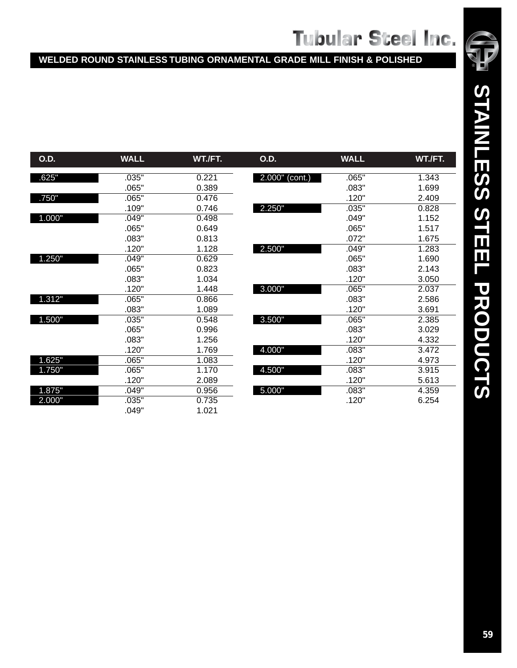## **WELDED ROUND STAINLESS TUBING ORNAMENTAL GRADE MILL FINISH & POLISHED**

| <b>O.D.</b> | <b>WALL</b> | WT./FT. | <b>O.D.</b>    | <b>WALL</b> | WT./FT. |
|-------------|-------------|---------|----------------|-------------|---------|
| .625"       | .035"       | 0.221   | 2.000" (cont.) | .065"       | 1.343   |
|             | .065"       | 0.389   |                | .083"       | 1.699   |
| .750"       | .065"       | 0.476   |                | .120"       | 2.409   |
|             | .109"       | 0.746   | 2.250"         | .035"       | 0.828   |
| 1.000"      | .049"       | 0.498   |                | .049"       | 1.152   |
|             | .065"       | 0.649   |                | .065"       | 1.517   |
|             | .083"       | 0.813   |                | .072"       | 1.675   |
|             | .120"       | 1.128   | 2.500"         | .049"       | 1.283   |
| 1.250"      | .049"       | 0.629   |                | .065"       | 1.690   |
|             | .065"       | 0.823   |                | .083"       | 2.143   |
|             | .083"       | 1.034   |                | .120"       | 3.050   |
|             | .120"       | 1.448   | 3.000"         | .065"       | 2.037   |
| 1.312"      | .065"       | 0.866   |                | .083"       | 2.586   |
|             | .083"       | 1.089   |                | .120"       | 3.691   |
| 1.500"      | .035"       | 0.548   | 3.500"         | .065"       | 2.385   |
|             | .065"       | 0.996   |                | .083"       | 3.029   |
|             | .083"       | 1.256   |                | .120"       | 4.332   |
|             | .120"       | 1.769   | 4.000"         | .083"       | 3.472   |
| 1.625"      | .065"       | 1.083   |                | .120"       | 4.973   |
| 1.750"      | .065"       | 1.170   | 4.500"         | .083"       | 3.915   |
|             | .120"       | 2.089   |                | .120"       | 5.613   |
| 1.875"      | .049"       | 0.956   | 5.000"         | .083"       | 4.359   |
| 2.000"      | .035"       | 0.735   |                | .120"       | 6.254   |
|             | .049"       | 1.021   |                |             |         |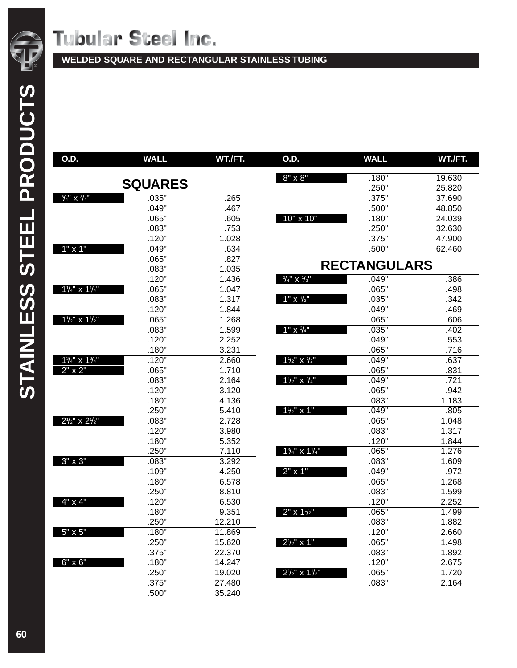**WELDED SQUARE AND RECTANGULAR STAINLESS TUBING**

| O.D.                                | <b>WALL</b>    | WT./FT. | <b>O.D.</b>                         | <b>WALL</b>         | WT./FT. |
|-------------------------------------|----------------|---------|-------------------------------------|---------------------|---------|
|                                     |                |         | $8" \times 8"$                      | .180"               | 19.630  |
|                                     | <b>SQUARES</b> |         |                                     | .250"               | 25.820  |
| $\frac{3}{4}$ " X $\frac{3}{4}$ "   | .035"          | .265    |                                     | .375"               | 37.690  |
|                                     | .049"          | .467    |                                     | .500"               | 48.850  |
|                                     | .065"          | .605    | 10" x 10"                           | .180"               | 24.039  |
|                                     | .083"          | .753    |                                     | .250"               | 32.630  |
|                                     | .120"          | 1.028   |                                     | .375"               | 47.900  |
| $1" \times 1"$                      | .049"          | .634    |                                     | .500"               | 62.460  |
|                                     | .065"          | .827    |                                     |                     |         |
|                                     | .083"          | 1.035   |                                     | <b>RECTANGULARS</b> |         |
|                                     | .120"          | 1.436   | $\frac{3}{4}$ " X $\frac{1}{2}$ "   | .049"               | .386    |
| $1\frac{1}{4}$ x $1\frac{1}{4}$     | .065"          | 1.047   |                                     | .065"               | .498    |
|                                     | .083"          | 1.317   | $1''$ X $1/2''$                     | .035"               | .342    |
|                                     | .120"          | 1.844   |                                     | .049"               | .469    |
| $1\frac{1}{2}$ " x $1\frac{1}{2}$ " | .065"          | 1.268   |                                     | .065"               | .606    |
|                                     | .083"          | 1.599   | $1" \times \frac{3}{4}$ "           | .035"               | .402    |
|                                     | .120"          | 2.252   |                                     | .049"               | .553    |
|                                     | .180"          | 3.231   |                                     | .065"               | .716    |
| $1\frac{3}{4}$ " x $1\frac{3}{4}$ " | .120"          | 2.660   | $1\frac{1}{2}$ " x $\frac{1}{2}$ "  | .049"               | .637    |
| $2" \times 2"$                      | .065"          | 1.710   |                                     | .065"               | .831    |
|                                     | .083"          | 2.164   | $1\frac{1}{2}$ X $\frac{3}{4}$ "    | .049"               | .721    |
|                                     | .120"          | 3.120   |                                     | .065"               | .942    |
|                                     | .180"          | 4.136   |                                     | .083"               | 1.183   |
|                                     | .250"          | 5.410   | $1\frac{1}{2}$ " x 1"               | .049"               | .805    |
| $2\frac{1}{2}$ " x $2\frac{1}{2}$ " | .083"          | 2.728   |                                     | .065"               | 1.048   |
|                                     | .120"          | 3.980   |                                     | .083"               | 1.317   |
|                                     | .180"          | 5.352   |                                     | .120"               | 1.844   |
|                                     | .250"          | 7.110   | $1\frac{3}{4}$ " x $1\frac{1}{4}$ " | .065"               | 1.276   |
| $3" \times 3"$                      | .083"          | 3.292   |                                     | .083"               | 1.609   |
|                                     | .109"          | 4.250   | $2" \times 1"$                      | .049"               | .972    |
|                                     | .180"          | 6.578   |                                     | .065"               | 1.268   |
|                                     | .250"          | 8.810   |                                     | .083"               | 1.599   |
| $4" \times 4"$                      | .120"          | 6.530   |                                     | .120"               | 2.252   |
|                                     | .180"          | 9.351   | $2" \times 1\frac{1}{2}"$           | .065"               | 1.499   |
|                                     | .250"          | 12.210  |                                     | .083"               | 1.882   |
| $5" \times 5"$                      | .180"          | 11.869  |                                     | .120"               | 2.660   |
|                                     | .250"          | 15.620  | $2^{1/2}$ " x 1"                    | .065"               | 1.498   |
|                                     | .375"          | 22.370  |                                     | .083"               | 1.892   |
| $6" \times 6"$                      | .180"          | 14.247  |                                     | .120"               | 2.675   |
|                                     | .250"          | 19.020  | $2\frac{1}{2}$ " x $1\frac{1}{2}$ " | .065"               | 1.720   |
|                                     | .375"          | 27.480  |                                     | .083"               | 2.164   |
|                                     | .500"          | 35.240  |                                     |                     |         |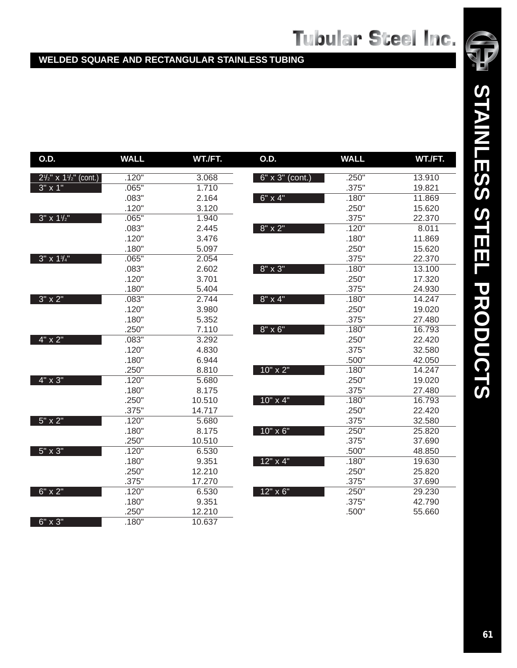### **WELDED SQUARE AND RECTANGULAR STAINLESS TUBING**

| O.D.                                         | <b>WALL</b> | WT./FT. | O.D.              | <b>WALL</b> | WT./FT. |
|----------------------------------------------|-------------|---------|-------------------|-------------|---------|
| $2\frac{1}{2}$ " x 1 $\frac{1}{2}$ " (cont.) | .120"       | 3.068   | 6" x 3" (cont.)   | .250"       | 13.910  |
| $3'' \times 1''$                             | .065"       | 1.710   |                   | .375"       | 19.821  |
|                                              | .083"       | 2.164   | $6'' \times 4''$  | .180"       | 11.869  |
|                                              | .120"       | 3.120   |                   | .250"       | 15.620  |
| $3''$ x $1\frac{1}{2}$                       | .065"       | 1.940   |                   | .375"       | 22.370  |
|                                              | .083"       | 2.445   | $8" \times 2"$    | .120"       | 8.011   |
|                                              | .120"       | 3.476   |                   | .180"       | 11.869  |
|                                              | .180"       | 5.097   |                   | .250"       | 15.620  |
| $3''$ x $1\frac{3}{4}''$                     | .065"       | 2.054   |                   | .375"       | 22.370  |
|                                              | .083"       | 2.602   | 8" x 3"           | .180"       | 13.100  |
|                                              | .120"       | 3.701   |                   | .250"       | 17.320  |
|                                              | .180"       | 5.404   |                   | .375"       | 24.930  |
| $3" \times 2"$                               | .083"       | 2.744   | $8" \times 4"$    | .180"       | 14.247  |
|                                              | .120"       | 3.980   |                   | .250"       | 19.020  |
|                                              | .180"       | 5.352   |                   | .375"       | 27.480  |
|                                              | .250"       | 7.110   | $8" \times 6"$    | .180"       | 16.793  |
| $4" \times 2"$                               | .083"       | 3.292   |                   | .250"       | 22.420  |
|                                              | .120"       | 4.830   |                   | .375"       | 32.580  |
|                                              | .180"       | 6.944   |                   | .500"       | 42.050  |
|                                              | .250"       | 8.810   | 10" x 2"          | .180"       | 14.247  |
| $4" \times 3"$                               | .120"       | 5.680   |                   | .250"       | 19.020  |
|                                              | .180"       | 8.175   |                   | .375"       | 27.480  |
|                                              | .250"       | 10.510  | $10'' \times 4''$ | .180"       | 16.793  |
|                                              | .375"       | 14.717  |                   | .250"       | 22.420  |
| $5" \times 2"$                               | .120"       | 5.680   |                   | .375"       | 32.580  |
|                                              | .180"       | 8.175   | $10" \times 6"$   | .250"       | 25.820  |
|                                              | .250"       | 10.510  |                   | .375"       | 37.690  |
| $5" \times 3"$                               | .120"       | 6.530   |                   | .500"       | 48.850  |
|                                              | .180"       | 9.351   | 12" x 4"          | .180"       | 19.630  |
|                                              | .250"       | 12.210  |                   | .250"       | 25.820  |
|                                              | .375"       | 17.270  |                   | .375"       | 37.690  |
| 6" x 2"                                      | .120"       | 6.530   | 12" x 6"          | .250"       | 29.230  |
|                                              | .180"       | 9.351   |                   | .375"       | 42.790  |
|                                              | .250"       | 12.210  |                   | .500"       | 55.660  |
| 6" x 3"                                      | .180"       | 10.637  |                   |             |         |

STAINLESS STEEL PRODUCTS **STAINLESS STEEL PRODUCTS**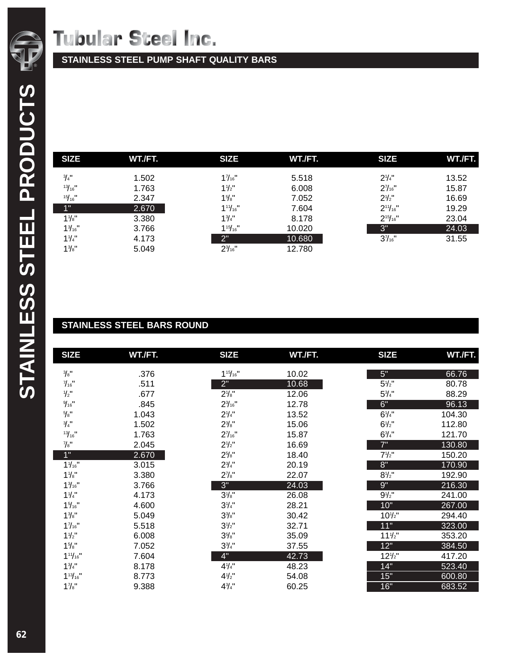**STAINLESS STEEL PUMP SHAFT QUALITY BARS**

| <b>SIZE</b>           | WT./FT. | <b>SIZE</b>      | WT./FT. | <b>SIZE</b>      | WT./FT. |
|-----------------------|---------|------------------|---------|------------------|---------|
| $\frac{3}{4}$ "       | 1.502   | 17/16"           | 5.518   | $2\frac{1}{4}$   | 13.52   |
| $13/16$ <sup>11</sup> | 1.763   | $11/2$ "         | 6.008   | $2\frac{7}{16}$  | 15.87   |
| $15/16$ <sup>11</sup> | 2.347   | $1\frac{5}{8}$ " | 7.052   | $2\frac{1}{2}$   | 16.69   |
| 1"                    | 2.670   | 111/16"          | 7.604   | $2^{11}/_{16}$ " | 19.29   |
| $1\frac{1}{8}$        | 3.380   | $1\frac{3}{4}$   | 8.178   | $2^{15}/_{16}$ " | 23.04   |
| $1\frac{3}{16}$ "     | 3.766   | $1^{15}/_{16}$ " | 10.020  | 3"               | 24.03   |
| 11/4"                 | 4.173   | 2"               | 10.680  | $3\frac{7}{16}$  | 31.55   |
| $1\frac{3}{8}$ "      | 5.049   | $2\frac{3}{16}$  | 12.780  |                  |         |

## **STAINLESS STEEL BARS ROUND**

| <b>SIZE</b>           | WT./FT. | <b>SIZE</b>       | WT./FT. | <b>SIZE</b>      | WT./FT. |
|-----------------------|---------|-------------------|---------|------------------|---------|
| $\frac{3}{8}$ "       | .376    | $1^{15}/_{16}$ "  | 10.02   | 5"               | 66.76   |
| $\frac{7}{16}$ "      | .511    | 2"                | 10.68   | $5\frac{1}{2}$   | 80.78   |
| $1/2$ "               | .677    | $2\frac{1}{8}$ "  | 12.06   | $5\frac{3}{4}$ " | 88.29   |
| 9/16                  | .845    | $2\frac{3}{16}$ " | 12.78   | 6"               | 96.13   |
| $5/8"$                | 1.043   | $2\frac{1}{4}$    | 13.52   | $6\frac{1}{4}$   | 104.30  |
| $\frac{3}{4}$ "       | 1.502   | $2\frac{3}{8}$ "  | 15.06   | $6\frac{1}{2}$   | 112.80  |
| $13/16$ <sup>11</sup> | 1.763   | $2\frac{7}{16}$ " | 15.87   | $6\frac{3}{4}$ " | 121.70  |
| $\frac{7}{8}$ "       | 2.045   | $2\frac{1}{2}$ "  | 16.69   | 7"               | 130.80  |
| 1"                    | 2.670   | $2\frac{5}{8}$ "  | 18.40   | $7\frac{1}{2}$ " | 150.20  |
| $1\frac{1}{16}$       | 3.015   | $2\frac{3}{4}$ "  | 20.19   | 8"               | 170.90  |
| $1\frac{1}{8}$        | 3.380   | $2\frac{7}{8}$ "  | 22.07   | $8\frac{1}{2}$ " | 192.90  |
| $1\frac{3}{16}$ "     | 3.766   | 3"                | 24.03   | 9"               | 216.30  |
| 11/4"                 | 4.173   | $3\frac{1}{8}$    | 26.08   | $9\frac{1}{2}$ " | 241.00  |
| $1\frac{5}{16}$ "     | 4.600   | $3\frac{1}{4}$    | 28.21   | 10"              | 267.00  |
| $1\frac{3}{8}$ "      | 5.049   | $3\frac{3}{8}$ "  | 30.42   | $10^{1/2}$       | 294.40  |
| 17/16"                | 5.518   | $3\frac{1}{2}$    | 32.71   | 11"              | 323.00  |
| 11/2"                 | 6.008   | $3\frac{7}{8}$    | 35.09   | $11\frac{1}{2}$  | 353.20  |
| $1\frac{5}{8}$ "      | 7.052   | $3\frac{3}{4}$ "  | 37.55   | 12"              | 384.50  |
| $1^{11}/_{16}$ "      | 7.604   | 4"                | 42.73   | $12\frac{1}{2}$  | 417.20  |
| $1\frac{3}{4}$ "      | 8.178   | $4\frac{1}{4}$    | 48.23   | 14"              | 523.40  |
| $1^{13}/_{16}$ "      | 8.773   | $4\frac{1}{2}$    | 54.08   | 15"              | 600.80  |
| $1\frac{7}{8}$ "      | 9.388   | $4\frac{3}{4}$ "  | 60.25   | 16"              | 683.52  |